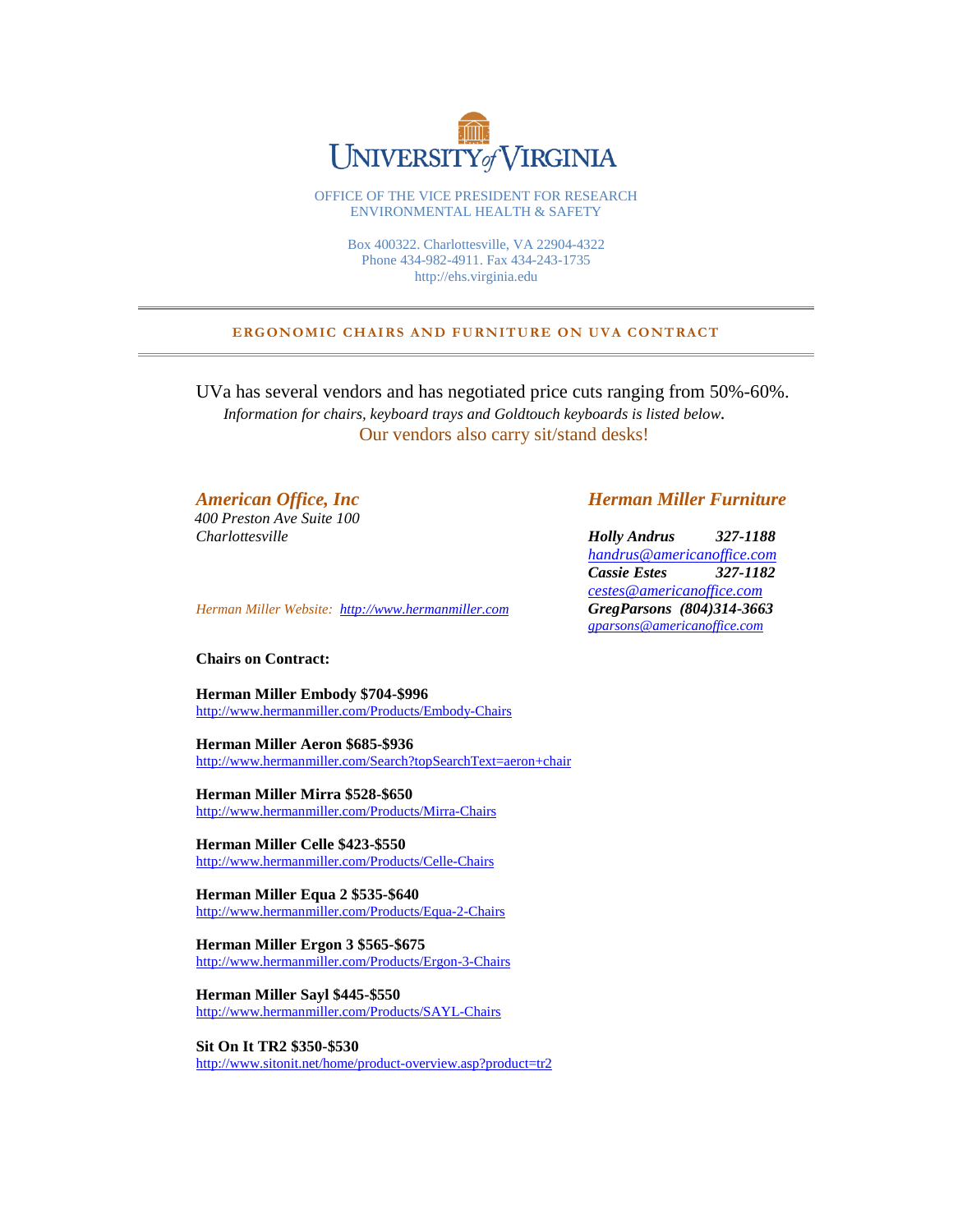

OFFICE OF THE VICE PRESIDENT FOR RESEARCH ENVIRONMENTAL HEALTH & SAFETY

> Box 400322. Charlottesville, VA 22904-4322 Phone 434-982-4911. Fax 434-243-1735 http://ehs.virginia.edu

## **ERGONOMIC CHAIRS AND FURNITURE ON UVA CONTRACT**

UVa has several vendors and has negotiated price cuts ranging from 50%-60%.  *Information for chairs, keyboard trays and Goldtouch keyboards is listed below.* Our vendors also carry sit/stand desks!

 *400 Preston Ave Suite 100*

*Herman Miller Website: [http://www.hermanmiller.com](http://www.hermanmiller.com/) GregParsons (804)314-3663*

## **Chairs on Contract:**

**Herman Miller Embody \$704-\$996** <http://www.hermanmiller.com/Products/Embody-Chairs>

**Herman Miller Aeron \$685-\$936** <http://www.hermanmiller.com/Search?topSearchText=aeron+chair>

**Herman Miller Mirra \$528-\$650** <http://www.hermanmiller.com/Products/Mirra-Chairs>

**Herman Miller Celle \$423-\$550** <http://www.hermanmiller.com/Products/Celle-Chairs>

**Herman Miller Equa 2 \$535-\$640** <http://www.hermanmiller.com/Products/Equa-2-Chairs>

**Herman Miller Ergon 3 \$565-\$675** <http://www.hermanmiller.com/Products/Ergon-3-Chairs>

**Herman Miller Sayl \$445-\$550** <http://www.hermanmiller.com/Products/SAYL-Chairs>

**Sit On It TR2 \$350-\$530** <http://www.sitonit.net/home/product-overview.asp?product=tr2>

# *American Office, Inc Herman Miller Furniture*

*Charlottesville Holly Andrus 327-1188 [handrus@americanoffice.com](mailto:handrus@americanoffice.com) Cassie Estes 327-1182 [cestes@americanoffice.com](mailto:cestes@americanoffice.com) gparsons@americanoffice.com*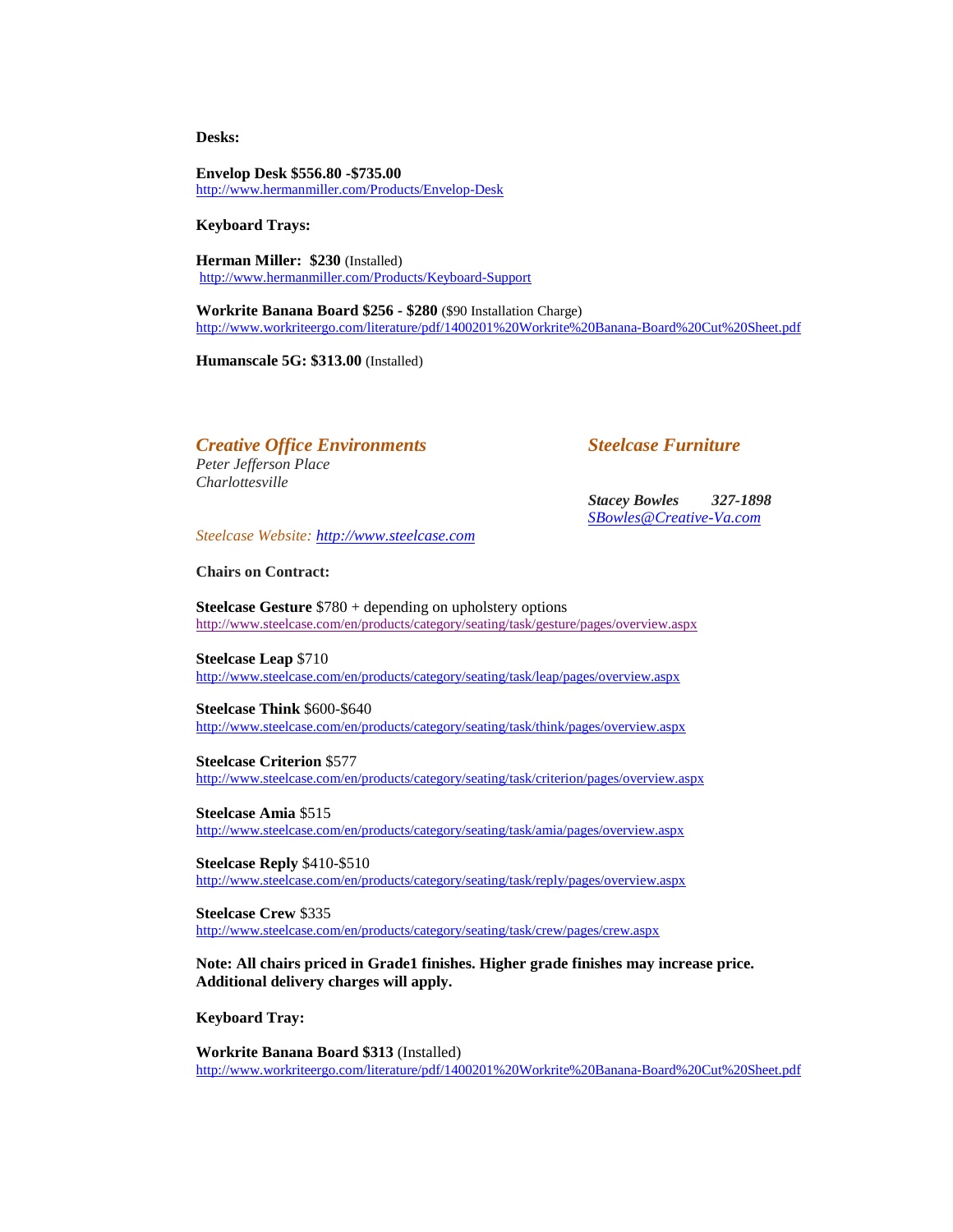**Desks:**

**Envelop Desk \$556.80 -\$735.00** <http://www.hermanmiller.com/Products/Envelop-Desk>

**Keyboard Trays:** 

**Herman Miller: \$230** (Installed) <http://www.hermanmiller.com/Products/Keyboard-Support>

**Workrite Banana Board \$256 - \$280** (\$90 Installation Charge) <http://www.workriteergo.com/literature/pdf/1400201%20Workrite%20Banana-Board%20Cut%20Sheet.pdf>

**Humanscale 5G: \$313.00** (Installed)

# *Creative Office Environments Steelcase Furniture*

*Peter Jefferson Place Charlottesville*

*Stacey Bowles 327-1898 [SBowles@Creative-Va.com](mailto:SBowles@Creative-Va.com)*

*Steelcase Website: [http://www.steelcase.com](http://www.steelcase.com/)*

**Chairs on Contract:** 

**Steelcase Gesture** \$780 + depending on upholstery options <http://www.steelcase.com/en/products/category/seating/task/gesture/pages/overview.aspx>

**Steelcase Leap** \$710 <http://www.steelcase.com/en/products/category/seating/task/leap/pages/overview.aspx>

**Steelcase Think** \$600-\$640 <http://www.steelcase.com/en/products/category/seating/task/think/pages/overview.aspx>

**Steelcase Criterion** \$577 <http://www.steelcase.com/en/products/category/seating/task/criterion/pages/overview.aspx>

**Steelcase Amia** \$515 <http://www.steelcase.com/en/products/category/seating/task/amia/pages/overview.aspx>

**Steelcase Reply** \$410-\$510 <http://www.steelcase.com/en/products/category/seating/task/reply/pages/overview.aspx>

**Steelcase Crew** \$335 <http://www.steelcase.com/en/products/category/seating/task/crew/pages/crew.aspx>

**Note: All chairs priced in Grade1 finishes. Higher grade finishes may increase price. Additional delivery charges will apply.** 

**Keyboard Tray:**

**Workrite Banana Board \$313** (Installed) <http://www.workriteergo.com/literature/pdf/1400201%20Workrite%20Banana-Board%20Cut%20Sheet.pdf>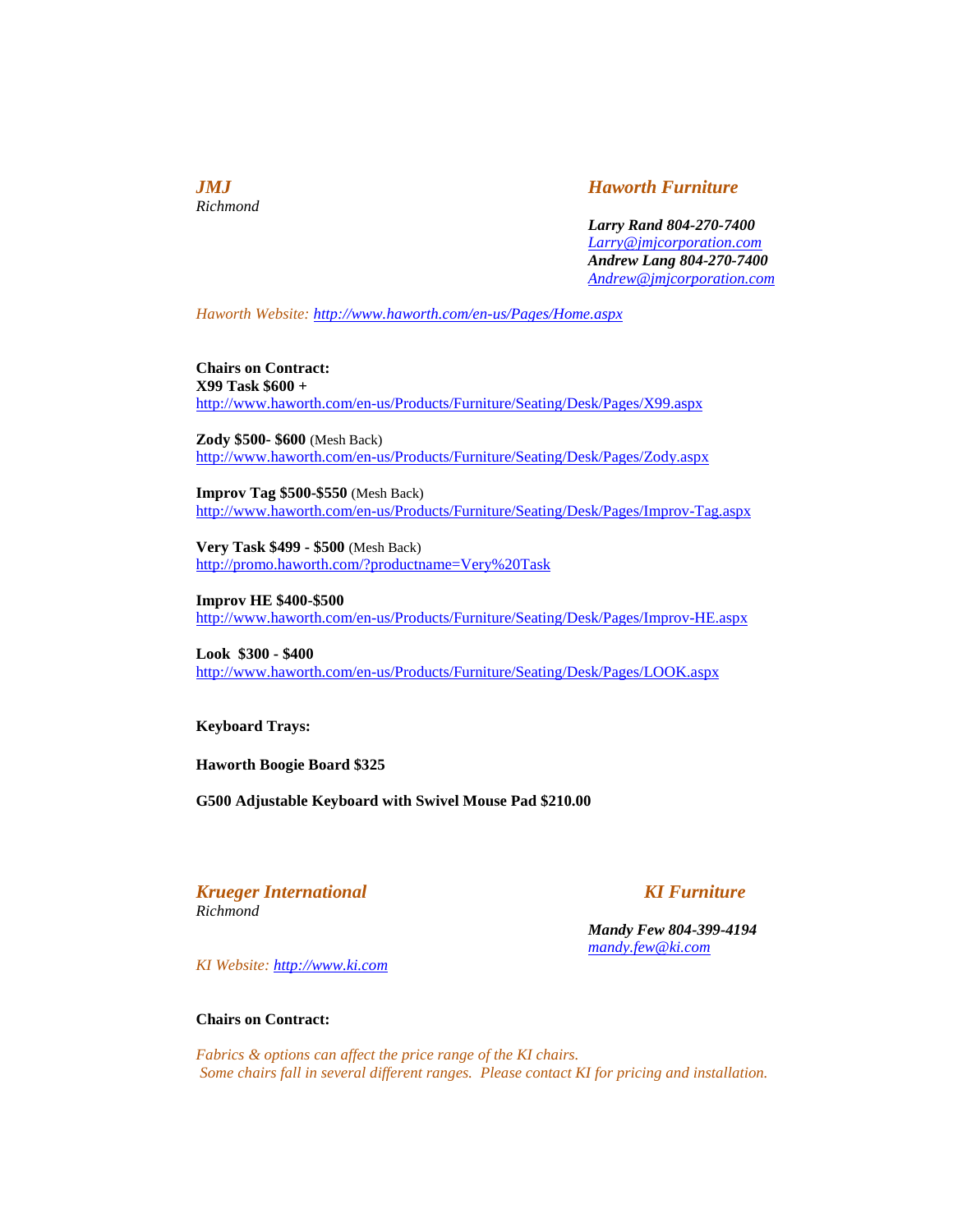*Richmond*

# *JMJ Haworth Furniture*

*Larry Rand 804-270-7400 [Larry@jmjcorporation.com](mailto:Larry@jmjcorporation.com) Andrew Lang 804-270-7400 [Andrew@jmjcorporation.com](mailto:Andrew@jmjcorporation.com)*

*Haworth Website: <http://www.haworth.com/en-us/Pages/Home.aspx>*

**Chairs on Contract: X99 Task \$600 +** <http://www.haworth.com/en-us/Products/Furniture/Seating/Desk/Pages/X99.aspx>

**Zody \$500- \$600** (Mesh Back) <http://www.haworth.com/en-us/Products/Furniture/Seating/Desk/Pages/Zody.aspx>

**Improv Tag \$500-\$550** (Mesh Back) <http://www.haworth.com/en-us/Products/Furniture/Seating/Desk/Pages/Improv-Tag.aspx>

**Very Task \$499 - \$500** (Mesh Back) <http://promo.haworth.com/?productname=Very%20Task>

**Improv HE \$400-\$500** <http://www.haworth.com/en-us/Products/Furniture/Seating/Desk/Pages/Improv-HE.aspx>

**Look \$300 - \$400** <http://www.haworth.com/en-us/Products/Furniture/Seating/Desk/Pages/LOOK.aspx>

**Keyboard Trays:**

**Haworth Boogie Board \$325**

**G500 Adjustable Keyboard with Swivel Mouse Pad \$210.00**

*Krueger International* KI Furniture *Richmond*

*Mandy Few 804-399-4194 [mandy.few@ki.com](mailto:mandy.few@ki.com)*

*KI Website: [http://www.ki.com](http://www.ki.com/)*

## **Chairs on Contract:**

*Fabrics & options can affect the price range of the KI chairs. Some chairs fall in several different ranges. Please contact KI for pricing and installation.*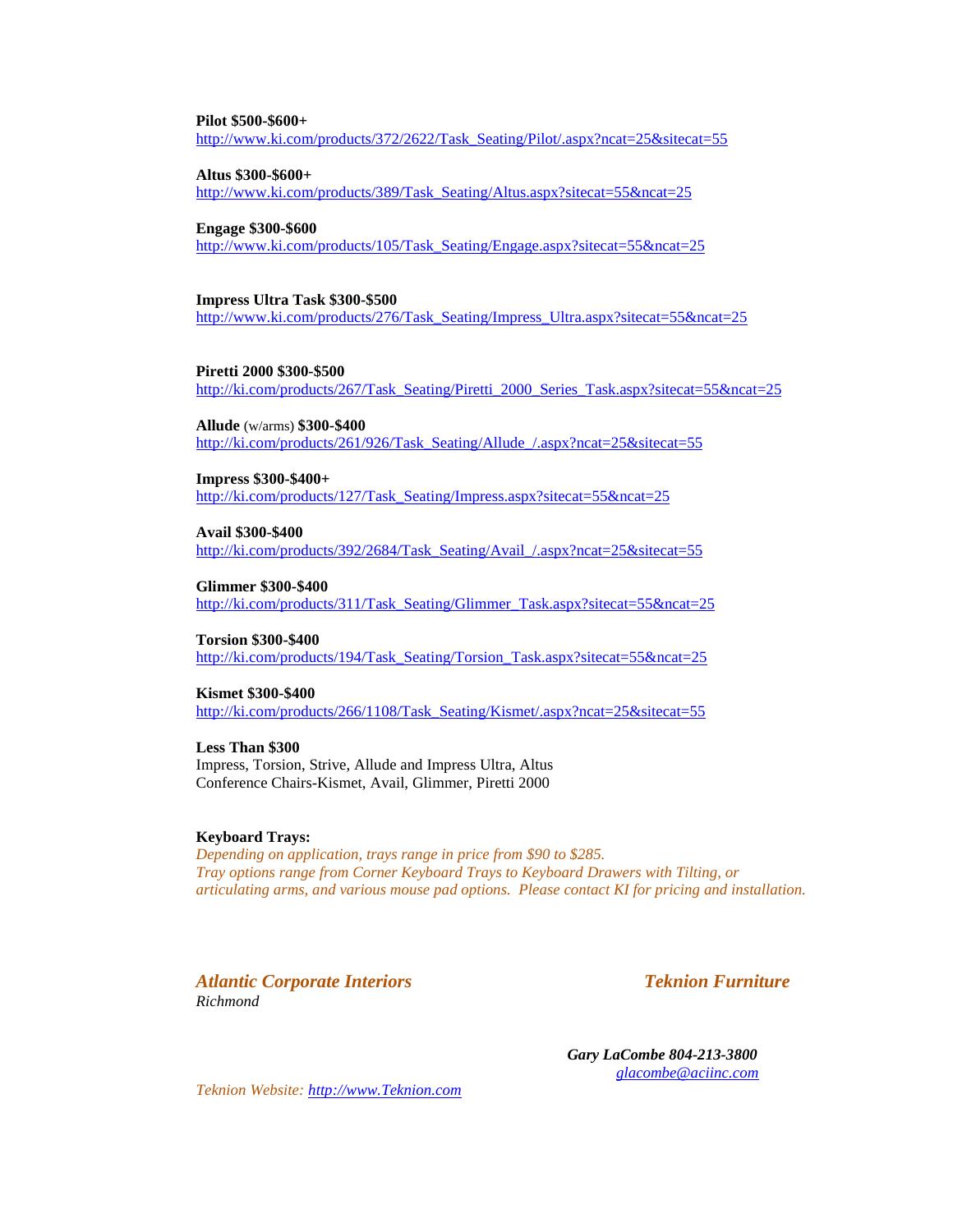### **Pilot \$500-\$600+**

[http://www.ki.com/products/372/2622/Task\\_Seating/Pilot/.aspx?ncat=25&sitecat=55](http://www.ki.com/products/372/2622/Task_Seating/Pilot/.aspx?ncat=25&sitecat=55)

**Altus \$300-\$600+**

[http://www.ki.com/products/389/Task\\_Seating/Altus.aspx?sitecat=55&ncat=25](http://www.ki.com/products/389/Task_Seating/Altus.aspx?sitecat=55&ncat=25)

#### **Engage \$300-\$600**

[http://www.ki.com/products/105/Task\\_Seating/Engage.aspx?sitecat=55&ncat=25](http://www.ki.com/products/105/Task_Seating/Engage.aspx?sitecat=55&ncat=25)

#### **Impress Ultra Task \$300-\$500**

[http://www.ki.com/products/276/Task\\_Seating/Impress\\_Ultra.aspx?sitecat=55&ncat=25](http://www.ki.com/products/276/Task_Seating/Impress_Ultra.aspx?sitecat=55&ncat=25)

### **Piretti 2000 \$300-\$500**

[http://ki.com/products/267/Task\\_Seating/Piretti\\_2000\\_Series\\_Task.aspx?sitecat=55&ncat=25](http://ki.com/products/267/Task_Seating/Piretti_2000_Series_Task.aspx?sitecat=55&ncat=25)

#### **Allude** (w/arms) **\$300-\$400**

[http://ki.com/products/261/926/Task\\_Seating/Allude\\_/.aspx?ncat=25&sitecat=55](http://ki.com/products/261/926/Task_Seating/Allude_/.aspx?ncat=25&sitecat=55)

**Impress \$300-\$400+**

[http://ki.com/products/127/Task\\_Seating/Impress.aspx?sitecat=55&ncat=25](http://ki.com/products/127/Task_Seating/Impress.aspx?sitecat=55&ncat=25)

**Avail \$300-\$400**

[http://ki.com/products/392/2684/Task\\_Seating/Avail\\_/.aspx?ncat=25&sitecat=55](http://ki.com/products/392/2684/Task_Seating/Avail_/.aspx?ncat=25&sitecat=55)

**Glimmer \$300-\$400**

http://ki.com/products/311/Task\_Seating/Glimmer\_Task.aspx?sitecat=55&ncat=25

#### **Torsion \$300-\$400**

[http://ki.com/products/194/Task\\_Seating/Torsion\\_Task.aspx?sitecat=55&ncat=25](http://ki.com/products/194/Task_Seating/Torsion_Task.aspx?sitecat=55&ncat=25)

#### **Kismet \$300-\$400**

[http://ki.com/products/266/1108/Task\\_Seating/Kismet/.aspx?ncat=25&sitecat=55](http://ki.com/products/266/1108/Task_Seating/Kismet/.aspx?ncat=25&sitecat=55)

#### **Less Than \$300**

Impress, Torsion, Strive, Allude and Impress Ultra, Altus Conference Chairs-Kismet, Avail, Glimmer, Piretti 2000

#### **Keyboard Trays:**

*Depending on application, trays range in price from \$90 to \$285. Tray options range from Corner Keyboard Trays to Keyboard Drawers with Tilting, or articulating arms, and various mouse pad options. Please contact KI for pricing and installation.*

*Atlantic Corporate Interiors Teknion Furniture Richmond*

 *Gary LaCombe 804-213-3800 [glacombe@aciinc.com](mailto:glacombe@aciinc.com)*

*Teknion Website: [http://www.Teknion.com](http://www.teknion.com/)*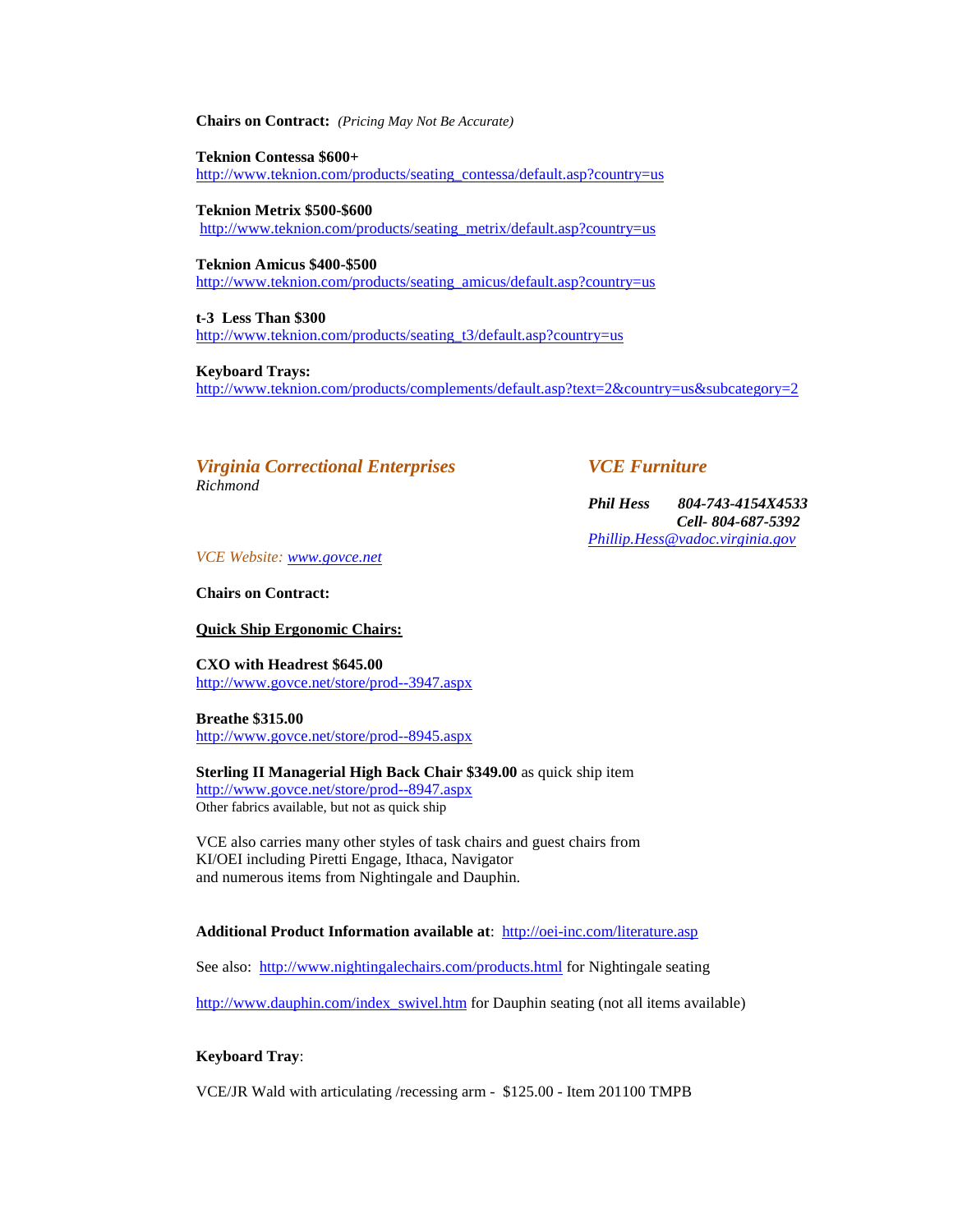**Chairs on Contract:** *(Pricing May Not Be Accurate)*

**Teknion Contessa \$600+** [http://www.teknion.com/products/seating\\_contessa/default.asp?country=us](http://www.teknion.com/products/seating_contessa/default.asp?country=us)

**Teknion Metrix \$500-\$600** [http://www.teknion.com/products/seating\\_metrix/default.asp?country=us](http://www.teknion.com/products/seating_metrix/default.asp?country=us)

**Teknion Amicus \$400-\$500** [http://www.teknion.com/products/seating\\_amicus/default.asp?country=us](http://www.teknion.com/products/seating_amicus/default.asp?country=us)

**t-3 Less Than \$300** [http://www.teknion.com/products/seating\\_t3/default.asp?country=us](http://www.teknion.com/products/seating_t3/default.asp?country=us)

**Keyboard Trays:** <http://www.teknion.com/products/complements/default.asp?text=2&country=us&subcategory=2>

*Virginia Correctional Enterprises VCE Furniture Richmond*

*Phil Hess 804-743-4154X4533 Cell- 804-687-5392 [Phillip.Hess@vadoc.virginia.gov](mailto:Phillip.Hess@vadoc.virginia.gov)*

*VCE Website: [www.govce.net](http://www.govce.net/)*

**Chairs on Contract:**

**Quick Ship Ergonomic Chairs:**

**CXO with Headrest \$645.00** <http://www.govce.net/store/prod--3947.aspx>

**Breathe \$315.00** <http://www.govce.net/store/prod--8945.aspx>

**Sterling II Managerial High Back Chair \$349.00** as quick ship item <http://www.govce.net/store/prod--8947.aspx> Other fabrics available, but not as quick ship

VCE also carries many other styles of task chairs and guest chairs from KI/OEI including Piretti Engage, Ithaca, Navigator and numerous items from Nightingale and Dauphin.

**Additional Product Information available at**:<http://oei-inc.com/literature.asp>

See also: <http://www.nightingalechairs.com/products.html> for Nightingale seating

[http://www.dauphin.com/index\\_swivel.htm](http://www.dauphin.com/index_swivel.htm) for Dauphin seating (not all items available)

## **Keyboard Tray**:

VCE/JR Wald with articulating /recessing arm - \$125.00 - Item 201100 TMPB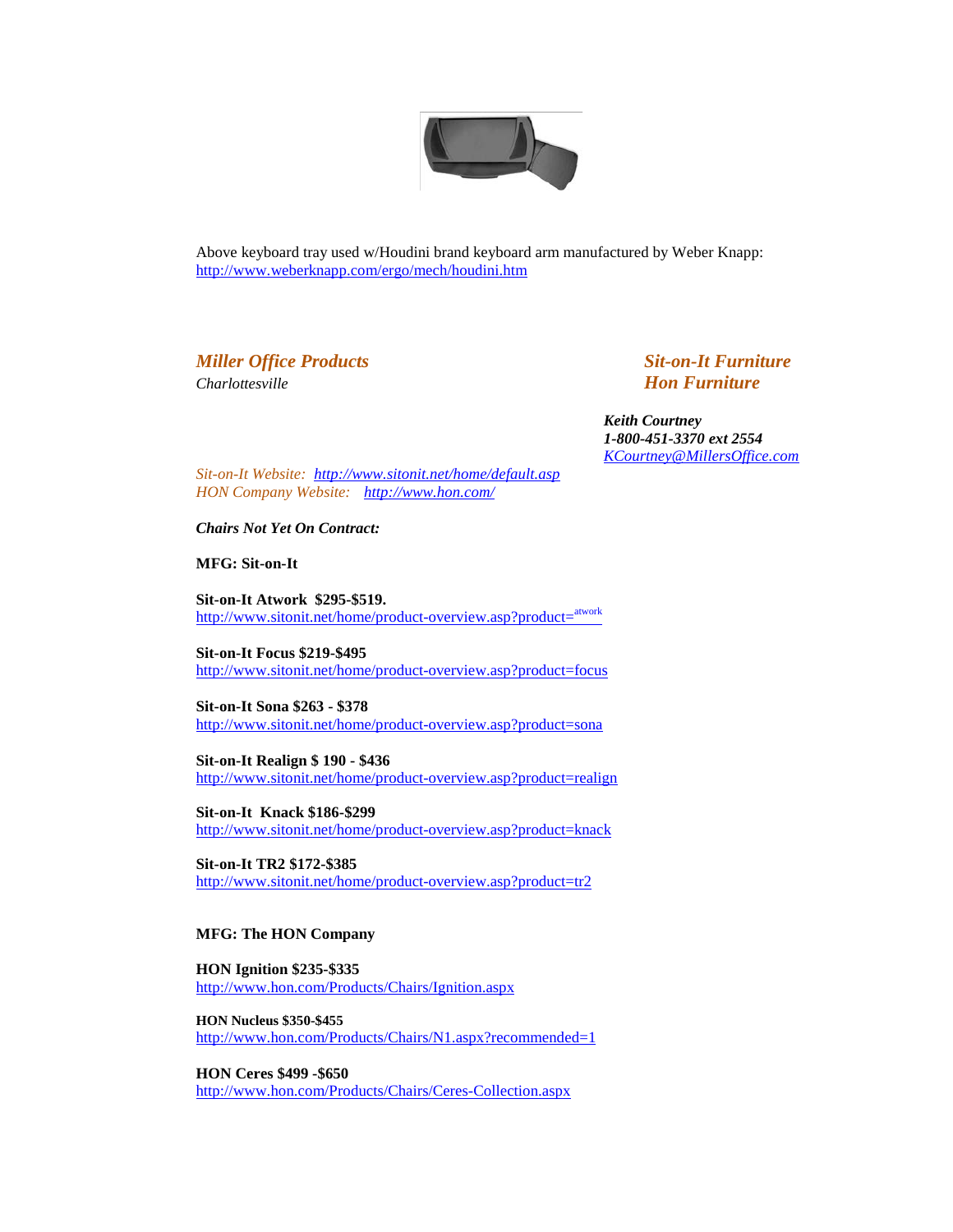

Above keyboard tray used w/Houdini brand keyboard arm manufactured by Weber Knapp: <http://www.weberknapp.com/ergo/mech/houdini.htm>

# *Miller Office Products Sit-on-It Furniture Charlottesville Hon Furniture*

 *Keith Courtney 1-800-451-3370 ext 2554 [KCourtney@MillersOffice.com](mailto:KCourtney@MillersOffice.com)*

*Sit-on-It Website: <http://www.sitonit.net/home/default.asp> HON Company Website: <http://www.hon.com/>*

*Chairs Not Yet On Contract:*

**MFG: Sit-on-It**

**Sit-on-It Atwork \$295-\$519.** [http://www.sitonit.net/home/product-overview.asp?product=](http://www.sitonit.net/home/product-overview.asp?product=atwork)<sup>atwork</sup>

**Sit-on-It Focus \$219-\$495** <http://www.sitonit.net/home/product-overview.asp?product=focus>

**Sit-on-It Sona \$263 - \$378** <http://www.sitonit.net/home/product-overview.asp?product=sona>

**Sit-on-It Realign \$ 190 - \$436** <http://www.sitonit.net/home/product-overview.asp?product=realign>

**Sit-on-It Knack \$186-\$299** <http://www.sitonit.net/home/product-overview.asp?product=knack>

**Sit-on-It TR2 \$172-\$385** <http://www.sitonit.net/home/product-overview.asp?product=tr2>

## **MFG: The HON Company**

**HON Ignition \$235-\$335** <http://www.hon.com/Products/Chairs/Ignition.aspx>

**HON Nucleus \$350-\$455** <http://www.hon.com/Products/Chairs/N1.aspx?recommended=1>

**HON Ceres \$499 -\$650** <http://www.hon.com/Products/Chairs/Ceres-Collection.aspx>